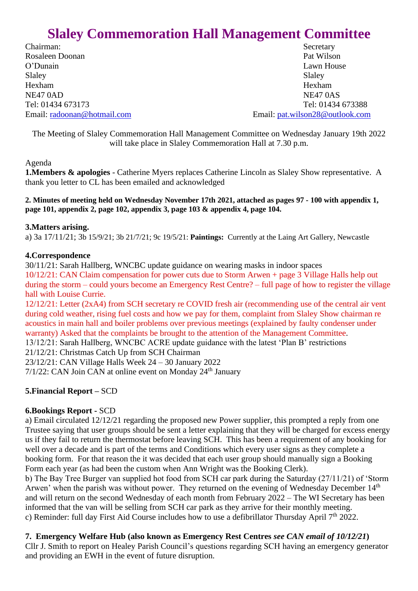# **Slaley Commemoration Hall Management Committee**

Chairman: Secretary Rosaleen Doonan Pat Wilson O'Dunain Lawn House Slaley Slaley Slaley Hexham Hexham NE47 0AD NE47 0AS

Tel: 01434 673173 Tel: 01434 673388 Email: [radoonan@hotmail.com](mailto:radoonan@hotmail.com) Email: [pat.wilson28@outlook.com](mailto:pat.wilson28@outlook.com)

The Meeting of Slaley Commemoration Hall Management Committee on Wednesday January 19th 2022 will take place in Slaley Commemoration Hall at 7.30 p.m.

Agenda

**1.Members & apologies** - Catherine Myers replaces Catherine Lincoln as Slaley Show representative. A thank you letter to CL has been emailed and acknowledged

**2. Minutes of meeting held on Wednesday November 17th 2021, attached as pages 97 - 100 with appendix 1, page 101, appendix 2, page 102, appendix 3, page 103 & appendix 4, page 104.**

# **3.Matters arising.**

a) 3a 17/11/21; 3b 15/9/21; 3b 21/7/21; 9c 19/5/21: **Paintings:** Currently at the Laing Art Gallery, Newcastle

# **4.Correspondence**

30/11/21: Sarah Hallberg, WNCBC update guidance on wearing masks in indoor spaces 10/12/21: CAN Claim compensation for power cuts due to Storm Arwen + page 3 Village Halls help out during the storm – could yours become an Emergency Rest Centre? – full page of how to register the village hall with Louise Currie.

12/12/21: Letter (2xA4) from SCH secretary re COVID fresh air (recommending use of the central air vent during cold weather, rising fuel costs and how we pay for them, complaint from Slaley Show chairman re acoustics in main hall and boiler problems over previous meetings (explained by faulty condenser under warranty) Asked that the complaints be brought to the attention of the Management Committee.

13/12/21: Sarah Hallberg, WNCBC ACRE update guidance with the latest 'Plan B' restrictions

21/12/21: Christmas Catch Up from SCH Chairman

23/12/21: CAN Village Halls Week 24 – 30 January 2022

 $7/1/22$ : CAN Join CAN at online event on Monday  $24<sup>th</sup>$  January

# **5.Financial Report –** SCD

# **6.Bookings Report -** SCD

a) Email circulated 12/12/21 regarding the proposed new Power supplier, this prompted a reply from one Trustee saying that user groups should be sent a letter explaining that they will be charged for excess energy us if they fail to return the thermostat before leaving SCH. This has been a requirement of any booking for well over a decade and is part of the terms and Conditions which every user signs as they complete a booking form. For that reason the it was decided that each user group should manually sign a Booking Form each year (as had been the custom when Ann Wright was the Booking Clerk).

b) The Bay Tree Burger van supplied hot food from SCH car park during the Saturday (27/11/21) of 'Storm Arwen' when the parish was without power. They returned on the evening of Wednesday December 14<sup>th</sup> and will return on the second Wednesday of each month from February 2022 – The WI Secretary has been informed that the van will be selling from SCH car park as they arrive for their monthly meeting. c) Reminder: full day First Aid Course includes how to use a defibrillator Thursday April  $7<sup>th</sup> 2022$ .

**7. Emergency Welfare Hub (also known as Emergency Rest Centres** *see CAN email of 10/12/21***)**

Cllr J. Smith to report on Healey Parish Council's questions regarding SCH having an emergency generator and providing an EWH in the event of future disruption.